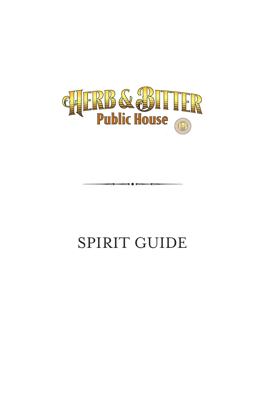

### SPIRIT GUIDE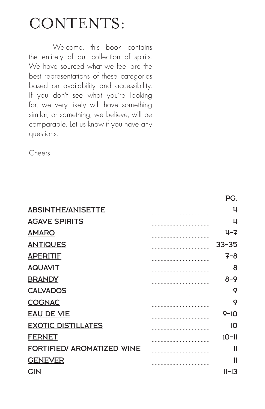## CONTENTS:

Welcome, this book contains the entirety of our collection of spirits. We have sourced what we feel are the best representations of these categories based on availability and accessibility. If you don't see what you're looking for, we very likely will have something similar, or something, we believe, will be comparable. Let us know if you have any questions..

Cheers!

|                                   | гv.       |
|-----------------------------------|-----------|
| <b>ABSINTHE/ANISETTE</b>          | 4         |
| <b>AGAVE SPIRITS</b>              | 4         |
| <b>AMARO</b>                      | $4 - 7$   |
| <b>ANTIQUES</b>                   | $33 - 35$ |
| <b>APERITIF</b>                   | $7 - 8$   |
| <b>AQUAVIT</b>                    | 8         |
| <b>BRANDY</b>                     | $8 - 9$   |
| <b>CALVADOS</b>                   | 9         |
| <b>COGNAC</b>                     | 9         |
| <b>EAU DE VIE</b>                 | $9 - 10$  |
| <b>EXOTIC DISTILLATES</b>         | 10        |
| <b>FERNET</b>                     | $10 - 11$ |
| <b>FORTIFIED/ AROMATIZED WINE</b> | 11        |
| <b>GENEVER</b>                    | 11        |
| <b>GIN</b>                        | $11 - 13$ |
|                                   |           |

 $DC$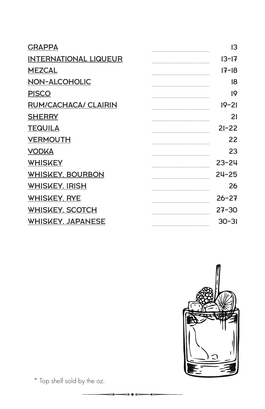| <b>GRAPPA</b>                | 13        |
|------------------------------|-----------|
| <b>INTERNATIONAL LIQUEUR</b> | $13 - 17$ |
| <b>MEZCAL</b>                | $17 - 18$ |
| <b>NON-ALCOHOLIC</b>         | 18        |
| <b>PISCO</b>                 | 19        |
| RUM/CACHACA/ CLAIRIN         | $19 - 21$ |
| <b>SHERRY</b>                | 21        |
| <b>TEQUILA</b>               | $21 - 22$ |
| <b>VERMOUTH</b>              | 22        |
| <b>VODKA</b>                 | 23        |
| <b>WHISKEY</b>               | $23 - 24$ |
| <b>WHISKEY, BOURBON</b>      | $24 - 25$ |
| <b>WHISKEY, IRISH</b>        | 26        |
| <b>WHISKEY, RYE</b>          | $26 - 27$ |
| <b>WHISKEY, SCOTCH</b>       | $27 - 30$ |
| <b>WHISKEY, JAPANESE</b>     | $30 - 31$ |
|                              |           |



\* Top shelf sold by the oz.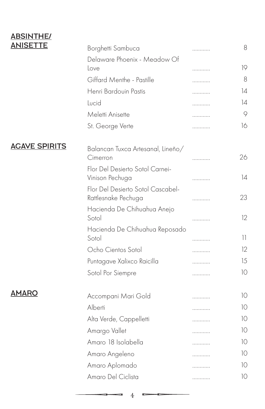### **ABSINTHE/**<br>ANISETTE

| <u>ANISETTE</u>      | Borghetti Sambuca                                        | . | 8               |
|----------------------|----------------------------------------------------------|---|-----------------|
|                      | Delaware Phoenix - Meadow Of                             |   |                 |
|                      | Love                                                     | . | 19              |
|                      | Giffard Menthe - Pastille                                | . | 8               |
|                      | Henri Bardouin Pastis                                    | . | $\overline{14}$ |
|                      | Lucid                                                    | . | 14              |
|                      | Meletti Anisette                                         | . | 9               |
|                      | St. George Verte                                         | . | 16              |
| <b>AGAVE SPIRITS</b> | Balancan Tuxca Artesanal, Lineño/                        |   |                 |
|                      | Cimerron                                                 | . | 26              |
|                      | Flor Del Desierto Sotol Carnei-<br>Vinison Pechuga       | . | 14              |
|                      | Flor Del Desierto Sotol Cascabel-<br>Rattlesnake Pechuga | . | 23              |
|                      | Hacienda De Chihuahua Anejo<br>Sotol                     | . | 12              |
|                      | Hacienda De Chihuahua Reposado<br>Sotol                  | . | 11.             |
|                      | Ocho Cientos Sotol                                       | . | 12              |
|                      | Puntagave Xalixco Raicilla                               | . | 15              |
|                      | Sotol Por Siempre                                        | . | 10              |
| <b>AMARO</b>         | Accompani Mari Gold                                      | . | 10              |
|                      | Alberti                                                  | . | 10              |
|                      | Alta Verde, Cappelletti                                  | . | 10              |
|                      | Amargo Vallet                                            | . | 10              |
|                      | Amaro 18 Isolabella                                      | . | 10              |
|                      | Amaro Angeleno                                           | . | 10              |
|                      | Amaro Aplomado                                           | . | 10              |
|                      | Amaro Del Ciclista                                       | . | 10              |
|                      |                                                          |   |                 |

4

 $\blacksquare$ 

c

÷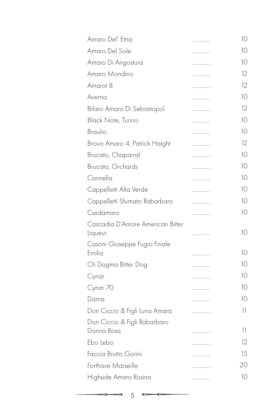| Amaro Del' Etna                        | . | 10           |
|----------------------------------------|---|--------------|
| Amaro Del Sole                         | . | 10           |
| Amaro Di Angostura                     | . | 10           |
| Amaro Mondino                          | . | 12           |
| Amarot 8                               | . | 12           |
| Averna                                 | . | 10           |
| Bilaro Amaro Di Sebastopol             | . | 12           |
| Black Note, Turino                     | . | 10           |
| Braulio                                | . | 10           |
| Brovo Amaro 4, Patrick Haight          | . | $12^{\circ}$ |
| Brucato, Chaparral                     | . | 10           |
| Brucato, Orchards                      | . | 10           |
| Cannella                               | . | 10           |
| Cappelletti Alta Verde                 | . | 10           |
| Cappelletti Sfumato Rabarbaro          | . | 10           |
| Cardamaro                              | . | 10           |
| Cascadia D'Amore American Bitter       |   |              |
| Liqueur                                | . | 10           |
| Casoni Giuseppe Fugio Finale<br>Emilia |   | 10           |
|                                        | . | 10           |
| Ch Dogma Bitter Dog                    | . |              |
| Cynar                                  | . | 10           |
| Cynar 70                               | . | 10           |
| Darna                                  | . | 10           |
| Don Ciccio & Figli Luna Amara          | . | 11           |
| Don Ciccio & Figli Rabarbaro           |   |              |
| Donna Rosa                             | . | 11           |
| Ebo Lebo                               | . | 12           |
| Faccia Brutto Gorini                   | . | 15           |
| Forthave Marseille                     |   | 20           |
| Highside Amaro Rosina                  | . | 10           |
|                                        |   |              |

 $5 \rightarrow$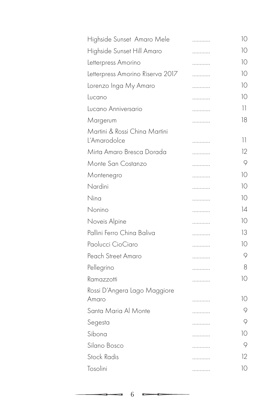| Highside Sunset Amaro Mele                    | . | 10 |
|-----------------------------------------------|---|----|
| Highside Sunset Hill Amaro                    | . | 10 |
| Letterpress Amorino                           | . | 10 |
| Letterpress Amorino Riserva 2017              | . | 10 |
| Lorenzo Inga My Amaro                         | . | 10 |
| Lucano                                        | . | 10 |
| Lucano Anniversario                           | . | 11 |
| Margerum                                      | . | 18 |
| Martini & Rossi China Martini<br>L'Amarodolce | . | 11 |
| Mirta Amaro Bresca Dorada                     | . | 12 |
| Monte San Costanzo                            | . | 9  |
| Montenegro                                    | . | 10 |
| Nardini                                       | . | 10 |
| Nina                                          | . | 10 |
| Nonino                                        | . | 14 |
| Noveis Alpine                                 | . | 10 |
| Pallini Ferro China Baliva                    | . | 13 |
| Paolucci CioCiaro                             | . | 10 |
| Peach Street Amaro                            | . | 9  |
| Pellegrino                                    | . | 8  |
| Ramazzotti                                    | . | 10 |
| Rossi D'Angera Lago Maggiore<br>Amaro         | . | 10 |
| Santa Maria Al Monte                          | . | 9  |
| Segesta                                       | . | 9  |
| Sibona                                        | . | 10 |
| Silano Bosco                                  | . | 9  |
| <b>Stock Radis</b>                            | . | 12 |
| Tosolini                                      | . | 10 |
|                                               |   |    |

 $\overline{\phantom{a}}$ 

 $\frac{1}{2}$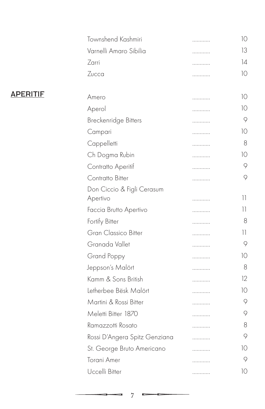|                 | Townshend Kashmiri            | . | 10                                    |
|-----------------|-------------------------------|---|---------------------------------------|
|                 | Varnelli Amaro Sibilia        | . | 13                                    |
|                 | Zarri                         | . | 14                                    |
|                 | Zucca                         | . | 10                                    |
| <u>APERITIF</u> | Amero                         | . | 10                                    |
|                 | Aperol                        | . | 10                                    |
|                 | Breckenridge Bitters          | . | 9                                     |
|                 | Campari                       | . | 10                                    |
|                 | Cappelletti                   | . | 8                                     |
|                 | Ch Dogma Rubin                | . | 10                                    |
|                 | Contratto Aperitif            | . | 9                                     |
|                 | Contratto Bitter              | . | 9                                     |
|                 | Don Ciccio & Figli Cerasum    |   |                                       |
|                 | Apertivo                      | . | 11                                    |
|                 | Faccia Brutto Apertivo        | . | $\overline{11}$                       |
|                 | Fortify Bitter                | . | 8                                     |
|                 | Gran Classico Bitter          | . | $\begin{array}{c} \hline \end{array}$ |
|                 | Granada Vallet                | . | 9                                     |
|                 | Grand Poppy                   | . | 10                                    |
|                 | Jeppson's Malört              | . | 8                                     |
|                 | Kamm & Sons British           | . | 12                                    |
|                 | Letherbee Bësk Malört         | . | 10                                    |
|                 | Martini & Rossi Bitter        | . | 9                                     |
|                 | Meletti Bitter 1870           | . | 9                                     |
|                 | Ramazzotti Rosato             | . | 8                                     |
|                 | Rossi D'Angera Spitz Genziana | . | 9                                     |
|                 | St. George Bruto Americano    | . | 10                                    |
|                 | Torani Amer                   | . | 9                                     |
|                 | Uccelli Bitter                | . | 10                                    |
|                 |                               |   |                                       |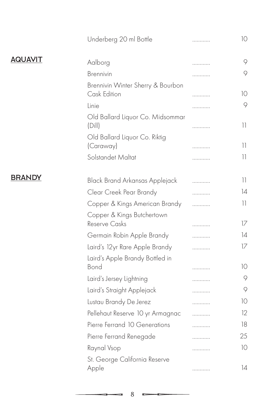|                | Underberg 20 ml Bottle                            | . | 10 |
|----------------|---------------------------------------------------|---|----|
| <b>AQUAVIT</b> | Aalborg                                           | . | 9  |
|                | Brennivin                                         | . | 9  |
|                | Brennivin Winter Sherry & Bourbon<br>Cask Edition | . | 10 |
|                | Linie                                             | . | 9  |
|                | Old Ballard Liquor Co. Midsommar<br>(Dill)        | . | 11 |
|                | Old Ballard Liquor Co. Riktig<br>(Caraway)        | . | 11 |
|                | Solstandet Maltat                                 | . | 11 |
| <b>BRANDY</b>  | Black Brand Arkansas Applejack                    | . | 11 |
|                | Clear Creek Pear Brandy                           | . | 14 |
|                | Copper & Kings American Brandy                    | . | 11 |
|                | Copper & Kings Butchertown<br>Reserve Casks       | . | 17 |
|                | Germain Robin Apple Brandy                        | . | 14 |
|                | Laird's 12yr Rare Apple Brandy                    | . | 17 |
|                | Laird's Apple Brandy Bottled in<br>Bond           | . | 10 |
|                | Laird's Jersey Lightning                          | . | 9  |
|                | Laird's Straight Applejack                        | . | 9  |
|                | Lustau Brandy De Jerez                            | . | 10 |
|                | Pellehaut Reserve 10 yr Armagnac                  | . | 12 |
|                | Pierre Ferrand 10 Generations                     | . | 18 |
|                | Pierre Ferrand Renegade                           | . | 25 |
|                | Raynal Vsop                                       | . | 10 |
|                | St. George California Reserve<br>Apple            | . | 14 |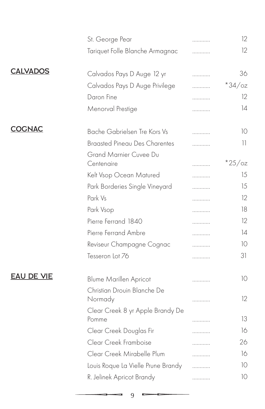|                   | St. George Pear                           |   | 12        |
|-------------------|-------------------------------------------|---|-----------|
|                   | Tariquet Folle Blanche Armagnac           |   | 12        |
| <b>CALVADOS</b>   | Calvados Pays D Auge 12 yr                | . | 36        |
|                   | Calvados Pays D Auge Privilege            |   | $*34$ /oz |
|                   | Daron Fine                                |   | 12        |
|                   | Menorval Prestige                         | . | 14        |
| <b>COGNAC</b>     | Bache Gabrielsen Tre Kors Vs              | . | 10        |
|                   | <b>Braasted Pineau Des Charentes</b>      |   | 11        |
|                   | Grand Marnier Cuvee Du<br>Centenaire      |   | $*25$ /oz |
|                   | Kelt Vsop Ocean Matured                   | . | 15        |
|                   | Park Borderies Single Vineyard            | . | 15        |
|                   | Park Vs                                   |   | 12        |
|                   | Park Vsop                                 |   | 18        |
|                   | Pierre Ferrand 1840                       | . | 12        |
|                   | Pierre Ferrand Ambre                      | . | 4         |
|                   | Reviseur Champagne Cognac                 |   | 10        |
|                   | Tesseron Lot 76                           | . | 31        |
| <b>EAU DE VIE</b> | <b>Blume Marillen Apricot</b>             | . | 10        |
|                   | Christian Drouin Blanche De<br>Normady    | . | 12        |
|                   | Clear Creek 8 yr Apple Brandy De<br>Pomme |   | 13        |
|                   | Clear Creek Douglas Fir                   |   | 16        |
|                   | Clear Creek Framboise                     | . | 26        |
|                   | Clear Creek Mirabelle Plum                |   | 16        |
|                   | Louis Roque La Vielle Prune Brandy        | . | 10        |
|                   | R. Jelinek Apricot Brandy                 | . | 10        |
|                   |                                           |   |           |

 $\overline{\phantom{0}}$ 

 $\frac{1}{2} \left( \frac{1}{2} \right) \left( \frac{1}{2} \right) \left( \frac{1}{2} \right) \left( \frac{1}{2} \right) \left( \frac{1}{2} \right) \left( \frac{1}{2} \right) \left( \frac{1}{2} \right) \left( \frac{1}{2} \right) \left( \frac{1}{2} \right) \left( \frac{1}{2} \right) \left( \frac{1}{2} \right) \left( \frac{1}{2} \right) \left( \frac{1}{2} \right) \left( \frac{1}{2} \right) \left( \frac{1}{2} \right) \left( \frac{1}{2} \right) \left( \frac$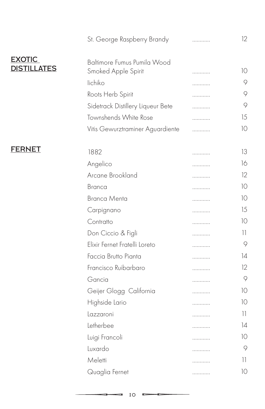|                                     | St. George Raspberry Brandy                        | . | $12 \,$ |
|-------------------------------------|----------------------------------------------------|---|---------|
| <b>EXOTIC</b><br><b>DISTILLATES</b> | Baltimore Fumus Pumila Wood<br>Smoked Apple Spirit | . | 10      |
|                                     | lichiko                                            | . | 9       |
|                                     | Roots Herb Spirit                                  | . | 9       |
|                                     | Sidetrack Distillery Liqueur Bete                  | . | 9       |
|                                     | Townshends White Rose                              | . | 15      |
|                                     | Vitis Gewurztraminer Aguardiente                   | . | 10      |
| <b>FERNET</b>                       | 1882                                               | . | 13      |
|                                     | Angelico                                           | . | 16      |
|                                     | Arcane Brookland                                   | . | 12      |
|                                     | Branca                                             |   | 10      |
|                                     | <b>Branca Menta</b>                                | . | 10      |
|                                     | Carpignano                                         | . | 15      |
|                                     | Contratto                                          | . | 10      |
|                                     | Don Ciccio & Figli                                 | . | 11      |
|                                     | Elixir Fernet Fratelli Loreto                      | . | 9       |
|                                     | Faccia Brutto Pianta                               | . | 14      |
|                                     | Francisco Ruibarbaro                               | . | 12      |
|                                     | Gancia                                             | . | 9       |
|                                     | Geijer Glogg California                            | . | 10      |
|                                     | Highside Lario                                     |   | 10      |
|                                     | Lazzaroni                                          | . | 11      |
|                                     | Letherbee                                          | . | 14      |
|                                     | Luigi Francoli                                     | . | 10      |
|                                     | Luxardo                                            | . | 9       |
|                                     | Meletti                                            | . | 11      |
|                                     | Quaglia Fernet                                     | . | 10      |
|                                     |                                                    |   |         |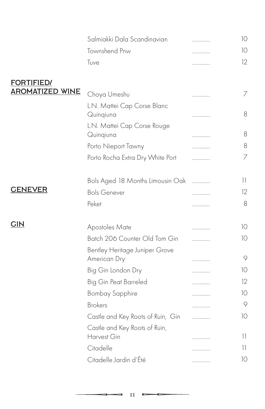|                        | Salmiakki Dala Scandinavian                  | . | 10              |
|------------------------|----------------------------------------------|---|-----------------|
|                        | Townshend Pnw                                | . | 10              |
|                        | Tuve                                         | . | 12              |
| <b>FORTIFIED/</b>      |                                              |   |                 |
| <b>AROMATIZED WINE</b> | Choya Umeshu                                 | . | 7               |
|                        | L.N. Mattei Cap Corse Blanc<br>Quinqiuna     | . | 8               |
|                        | L.N. Mattei Cap Corse Rouge<br>Quinqiuna     | . | 8               |
|                        | Porto Nieport Tawny                          | . | 8               |
|                        | Porto Rocha Extra Dry White Port             | . | 7               |
|                        | Bols Aged 18 Months Limousin Oak             | . | $\overline{11}$ |
| <b>GENEVER</b>         | <b>Bols Genever</b>                          | . | 12              |
|                        | Peket                                        | . | 8               |
| <b>GIN</b>             | Apostoles Mate                               | . | 10              |
|                        | Batch 206 Counter Old Tom Gin                | . | 10              |
|                        | Bentley Heritage Juniper Grove               |   | $\circ$         |
|                        | American Dry                                 | . |                 |
|                        | Big Gin London Dry                           | . | 10              |
|                        | Big Gin Peat Barreled                        | . | 12              |
|                        | <b>Bombay Sapphire</b>                       | . | 10              |
|                        | <b>Brokers</b>                               | . | 9               |
|                        | Castle and Key Roots of Ruin, Gin            | . | 10              |
|                        | Castle and Key Roots of Ruin,<br>Harvest Gin | . | 11              |
|                        | Citadelle                                    | . | 11              |
|                        | Citadelle Jardin d'Été                       | . | 10              |
|                        |                                              |   |                 |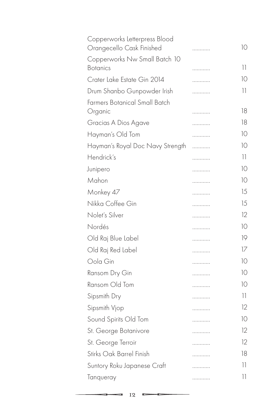| Copperworks Letterpress Blood<br>Orangecello Cask Finished | . | 10              |
|------------------------------------------------------------|---|-----------------|
| Copperworks Nw Small Batch 10                              |   |                 |
| <b>Botanics</b>                                            | . | 11              |
| Crater Lake Estate Gin 2014                                | . | 10              |
| Drum Shanbo Gunpowder Irish                                | . | $\overline{11}$ |
| Farmers Botanical Small Batch                              |   |                 |
| Organic                                                    | . | 18              |
| Gracias A Dios Agave                                       | . | 18              |
| Hayman's Old Tom                                           | . | 10              |
| Hayman's Royal Doc Navy Strength                           | . | 10              |
| Hendrick's                                                 | . | 11              |
| Junipero                                                   | . | 10              |
| Mahon                                                      | . | 10              |
| Monkey 47                                                  | . | 15              |
| Nikka Coffee Gin                                           | . | 15              |
| Nolet's Silver                                             | . | 12              |
| Nordés                                                     | . | 10              |
| Old Raj Blue Label                                         | . | 19              |
| Old Raj Red Label                                          | . | 17              |
| Oola Gin                                                   | . | 10              |
| Ransom Dry Gin                                             | . | 10              |
| Ransom Old Tom                                             | . | 10              |
| Sipsmith Dry                                               | . | $\overline{11}$ |
| Sipsmith Vjop                                              | . | 12              |
| Sound Spirits Old Tom                                      | . | 10              |
| St. George Botanivore                                      | . | 12              |
| St. George Terroir                                         | . | 12              |
| Stirks Oak Barrel Finish                                   | . | 18              |
| Suntory Roku Japanese Craft                                | . | 11              |
| Tanqueray                                                  | . | 11              |
|                                                            |   |                 |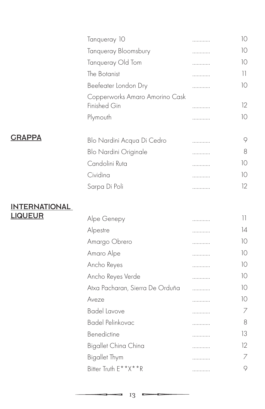|                      | Tanqueray 10                                   | . | 10 |
|----------------------|------------------------------------------------|---|----|
|                      | Tanqueray Bloomsbury                           | . | 10 |
|                      | Tanqueray Old Tom                              | . | 10 |
|                      | The Botanist                                   | . | 11 |
|                      | Beefeater London Dry                           | . | 10 |
|                      | Copperworks Amaro Amorino Cask<br>Finished Gin | . | 12 |
|                      | Plymouth                                       | . | 10 |
| <b>GRAPPA</b>        | Blo Nardini Acqua Di Cedro                     | . | 9  |
|                      | Blo Nardini Originale                          | . | 8  |
|                      | Candolini Ruta                                 |   | 10 |
|                      | Cividina                                       | . | 10 |
|                      |                                                | . | 12 |
|                      | Sarpa Di Poli                                  | . |    |
| <b>INTERNATIONAL</b> |                                                |   |    |
| <b>LIQUEUR</b>       | Alpe Genepy                                    | . | 11 |
|                      | Alpestre                                       | . | 4  |
|                      | Amargo Obrero                                  | . | 10 |
|                      | Amaro Alpe                                     | . | 10 |
|                      | Ancho Reyes                                    | . | 10 |
|                      | Ancho Reyes Verde                              | . | 10 |
|                      | Atxa Pacharan, Sierra De Orduña                | . | 10 |
|                      | Aveze                                          | . | 10 |
|                      | <b>Badel Lavove</b>                            | . | 7  |
|                      | <b>Badel Pelinkovac</b>                        | . | 8  |
|                      | Benedictine                                    | . | 13 |
|                      | Bigallet China China                           | . | 12 |
|                      | <b>Bigallet Thym</b>                           | . | 7  |
|                      | Bitter Truth E**X**R                           | . | 9  |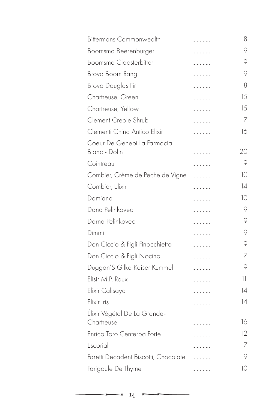| <b>Bittermans Commonwealth</b>       | . | 8  |
|--------------------------------------|---|----|
| Boomsma Beerenburger                 | . | 9  |
| Boomsma Cloosterbitter               | . | 9  |
| Brovo Boom Rang                      | . | 9  |
| Brovo Douglas Fir                    | . | 8  |
| Chartreuse, Green                    | . | 15 |
| Chartreuse, Yellow                   | . | 15 |
| Clement Creole Shrub                 | . | 7  |
| Clementi China Antico Elixir         | . | 16 |
| Coeur De Genepi La Farmacia          |   |    |
| Blanc - Dolin                        | . | 20 |
| Cointreau                            | . | 9  |
| Combier, Crème de Peche de Vigne     | . | 10 |
| Combier, Elixir                      | . | 14 |
| Damiana                              | . | 10 |
| Dana Pelinkovec                      | . | 9  |
| Darna Pelinkovec                     | . | 9  |
| Dimmi                                | . | 9  |
| Don Ciccio & Figli Finocchietto      | . | 9  |
| Don Ciccio & Figli Nocino            | . | 7  |
| Duggan'S Gilka Kaiser Kummel         | . | 9  |
| Elisir M.P. Roux                     | . | 11 |
| Elixir Calisaya                      | . | 14 |
| Elixir Iris                          | . | 14 |
| Élixir Végétal De La Grande-         |   |    |
| Chartreuse                           | . | 16 |
| Enrico Toro Centerba Forte           | . | 12 |
| Escorial                             | . | 7  |
| Faretti Decadent Biscotti, Chocolate | . | 9  |
| Farigoule De Thyme                   | . | 10 |
|                                      |   |    |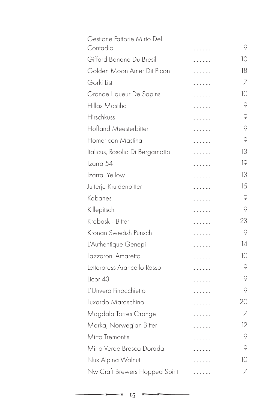| . | 9  |
|---|----|
| . | 10 |
| . | 18 |
| . | 7  |
| . | 10 |
| . | 9  |
| . | 9  |
| . | 9  |
| . | 9  |
| . | 13 |
| . | 19 |
| . | 13 |
| . | 15 |
| . | 9  |
| . | 9  |
| . | 23 |
| . | 9  |
| . | 14 |
| . | 10 |
| . | 9  |
| . | 9  |
| . | 9  |
| . | 20 |
| . | 7  |
| . | 12 |
| . | 9  |
| . | 9  |
|   | 10 |
| . | 7  |
|   |    |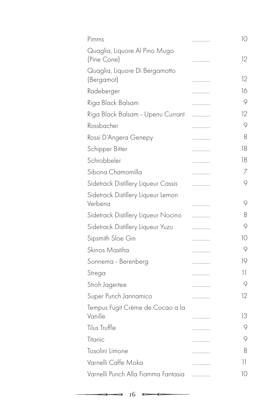| Pimms                                         | . | 10 |
|-----------------------------------------------|---|----|
| Quaglia, Liquore Al Pino Mugo<br>(Pine Cone)  | . | 12 |
| Quaglia, Liquore Di Bergamotto<br>(Bergamot)  | . | 12 |
| Radeberger                                    | . | 16 |
| Riga Black Balsam                             | . | 9  |
| Riga Black Balsam - Upenu Currant             | . | 12 |
| Rossbacher                                    | . | 9  |
| Rossi D'Angera Genepy                         | . | 8  |
| Schipper Bitter                               | . | 18 |
| Schrobbeler                                   | . | 18 |
| Sibona Chamomilla                             | . | 7  |
| Sidetrack Distillery Liqueur Cassis           | . | 9  |
| Sidetrack Distillery Liqueur Lemon<br>Verbena | . | 9  |
| Sidetrack Distillery Liqueur Nocino           | . | 8  |
| Sidetrack Distillery Liqueur Yuzu             | . | 9  |
| Sipsmith Sloe Gin                             | . | 10 |
| Skinos Mastiha                                | . | 9  |
| Sonnema - Berenberg                           | . | 19 |
| Strega                                        | . | 11 |
| Stroh Jagertee                                | . | 9  |
| Super Punch Jannamico                         | . | 12 |
| Tempus Fugit Crème de Cocao a la<br>Vanille   | . | 13 |
| Tilus Truffle                                 |   | 9  |
| Titanic                                       | . | 9  |
| Tosolini Limone                               | . | 8  |
| Varnelli Caffe Moka                           | . | 11 |
| Varnelli Punch Alla Fiamma Fantasia           | . | 10 |
|                                               | . |    |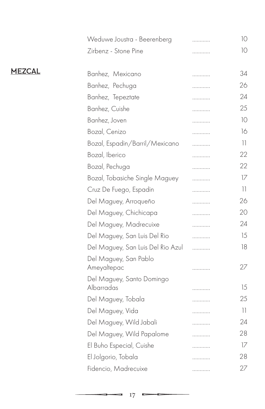|               | Weduwe Joustra - Beerenberg             | . | 10              |
|---------------|-----------------------------------------|---|-----------------|
|               | Zirbenz - Stone Pine                    | . | 10              |
| <b>MEZCAL</b> | Banhez, Mexicano                        | . | 34              |
|               | Banhez, Pechuga                         |   | 26              |
|               | Banhez, Tepeztate                       |   | 24              |
|               | Banhez, Cuishe                          | . | 25              |
|               | Banhez, Joven                           | . | 10              |
|               | Bozal, Cenizo                           | . | 16              |
|               |                                         | . | $\overline{11}$ |
|               | Bozal, Espadin/Barril/Mexicano          | . | 22              |
|               | Bozal, Iberico                          | . |                 |
|               | Bozal, Pechuga                          | . | 22              |
|               | Bozal, Tobasiche Single Maguey          | . | 17              |
|               | Cruz De Fuego, Espadin                  | . | 11              |
|               | Del Maguey, Arroqueño                   | . | 26              |
|               | Del Maguey, Chichicapa                  | . | 20              |
|               | Del Maguey, Madrecuixe                  | . | 24              |
|               | Del Maguey, San Luis Del Rio            | . | 15              |
|               | Del Maguey, San Luis Del Rio Azul       | . | 18              |
|               | Del Maguey, San Pablo<br>Ameyaltepac    | . | 27              |
|               | Del Maguey, Santo Domingo<br>Albarradas | . | 15              |
|               | Del Maguey, Tobala                      | . | 25              |
|               | Del Maguey, Vida                        | . | 11              |
|               | Del Maguey, Wild Jabali                 | . | 24              |
|               | Del Maguey, Wild Papalome               | . | 28              |
|               | El Buho Especial, Cuishe                | . | 17              |
|               | El Jolgorio, Tobala                     | . | 28              |
|               | Fidencio, Madrecuixe                    | . | 27              |
|               |                                         |   |                 |

 $\blacksquare$ 

▭

9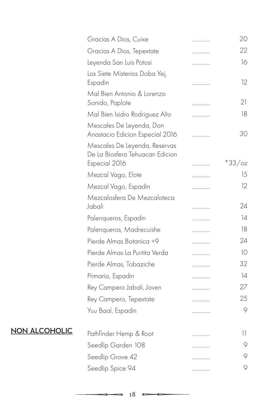|                      | Gracias A Dios, Cuixe                                            | . | 20       |
|----------------------|------------------------------------------------------------------|---|----------|
|                      | Gracias A Dios, Tepextate                                        | . | 22       |
|                      | Leyenda San Luis Potosi                                          | . | 16       |
|                      | Los Siete Misterios Doba Yej,<br>Espadin                         | . | 12       |
|                      | Mal Bien Antonio & Lorenzo<br>Sonido, Paplote                    | . | 21       |
|                      | Mal Bien Isidro Rodriguez Alto                                   | . | 18       |
|                      | Mescales De Leyenda, Don<br>Anastacio Edicion Especial 2016      | . | 30       |
|                      | Mescales De Leyenda, Reservas<br>De La Biosfera Tehuacan Edicion |   |          |
|                      | Especial 2016                                                    |   | $*33/oz$ |
|                      | Mezcal Vago, Elote                                               | . | 15       |
|                      | Mezcal Vago, Espadin                                             | . | 12       |
|                      | Mezcalosfera De Mezcaloteca<br>Jabali                            | . | 24       |
|                      | Palenqueros, Espadin                                             | . | 14       |
|                      | Palenqueros, Madrecuishe                                         | . | 18       |
|                      | Pierde Almas Botanica +9                                         | . | 24       |
|                      | Pierde Almas La Puritita Verda                                   | . | 10       |
|                      | Pierde Almas, Tobaziche                                          | . | 32       |
|                      | Primario, Espadin                                                | . | 14       |
|                      | Rey Campero Jabali, Joven                                        | . | 27       |
|                      | Rey Campero, Tepextate                                           | . | 25       |
|                      | Yuu Baal, Espadin                                                | . | 9        |
| <b>NON ALCOHOLIC</b> | Pathfinder Hemp & Root                                           | . | 11       |
|                      | Seedlip Garden 108                                               | . | 9        |
|                      | Seedlip Grove 42                                                 | . | 9        |
|                      | Seedlip Spice 94                                                 | . | 9        |
|                      |                                                                  |   |          |

 $\blacksquare$ 

0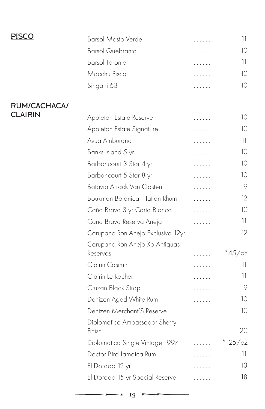| <b>PISCO</b>   | <b>Barsol Mosto Verde</b>                  | . | 11              |
|----------------|--------------------------------------------|---|-----------------|
|                | <b>Barsol Quebranta</b>                    | . | 10              |
|                | <b>Barsol Torontel</b>                     | . | $\frac{1}{2}$   |
|                | Macchu Pisco                               | . | 10              |
|                | Singani 63                                 | . | 10              |
| RUM/CACHACA/   |                                            |   |                 |
| <u>CLAIRIN</u> | Appleton Estate Reserve                    | . | 10              |
|                | Appleton Estate Signature                  | . | 10              |
|                | Avua Amburana                              | . | 11              |
|                | Banks Island 5 yr                          | . | 10              |
|                | Barbancourt 3 Star 4 yr                    | . | 10              |
|                | Barbancourt 5 Star 8 yr                    | . | 10              |
|                | Batavia Arrack Van Oosten                  | . | 9               |
|                | Boukman Botanical Hatian Rhum              | . | 12              |
|                | Caña Brava 3 yr Carta Blanca               | . | 10              |
|                | Caña Brava Reserva Añeja                   | . | 11              |
|                | Carupano Ron Anejo Exclusiva 12yr          | . | 12              |
|                | Carupano Ron Anejo Xo Antiguas<br>Reservas |   | $*45/\text{oz}$ |
|                | Clairin Casimir                            | . | 11              |
|                | Clairin Le Rocher                          | . | 11              |
|                | Cruzan Black Strap                         | . | 9               |
|                | Denizen Aged White Rum                     |   | 10              |
|                | Denizen Merchant'S Reserve                 | . | 10              |
|                | Diplomatico Ambassador Sherry<br>Finish    |   | 20              |
|                | Diplomatico Single Vintage 1997            |   | $*125/oz$       |
|                | Doctor Bird Jamaica Rum                    |   | 11              |
|                | El Dorado 12 yr                            |   | 13              |
|                | El Dorado 15 yr Special Reserve            |   | 18              |
|                |                                            |   |                 |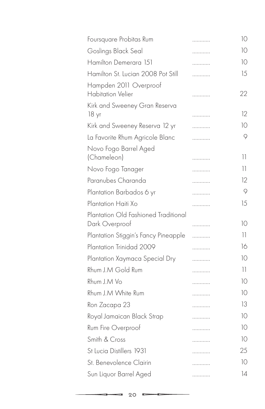| Foursquare Probitas Rum                                | . | 10              |
|--------------------------------------------------------|---|-----------------|
| Goslings Black Seal                                    | . | 10              |
| Hamilton Demerara 151                                  | . | 10              |
| Hamilton St. Lucian 2008 Pot Still                     | . | 15              |
| Hampden 2011 Overproof<br><b>Habitation Velier</b>     | . | 22              |
| Kirk and Sweeney Gran Reserva<br>18 yr                 | . | 12              |
| Kirk and Sweeney Reserva 12 yr                         | . | 10              |
| La Favorite Rhum Agricole Blanc                        | . | 9               |
| Novo Fogo Barrel Aged<br>(Chameleon)                   |   | 11              |
| Novo Fogo Tanager                                      |   | 11              |
| Paranubes Charanda                                     | . | 12              |
|                                                        | . | 9               |
| Plantation Barbados 6 yr                               | . |                 |
| Plantation Haiti Xo                                    | . | 15              |
| Plantation Old Fashioned Traditional<br>Dark Overproof | . | 10              |
| Plantation Stiggin's Fancy Pineapple                   | . | 11              |
| Plantation Trinidad 2009                               | . | 16              |
| Plantation Xaymaca Special Dry                         | . | 10              |
| Rhum J.M Gold Rum                                      | . | $\overline{11}$ |
| Rhum J.M Vo                                            | . | 10              |
| Rhum J.M White Rum                                     | . | 10              |
| Ron Zacapa 23                                          | . | 13              |
| Royal Jamaican Black Strap                             | . | 10              |
| Rum Fire Overproof                                     | . | 10              |
| Smith & Cross                                          | . | 10              |
| St Lucia Distillers 1931                               | . | 25              |
| St. Benevolence Clairin                                |   | 10              |
| Sun Liquor Barrel Aged                                 | . | $\overline{14}$ |
|                                                        |   |                 |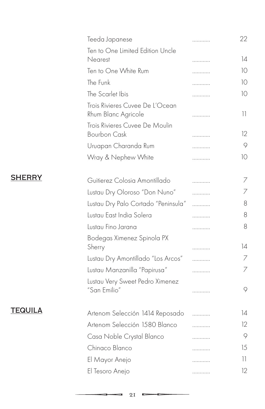|                | Teeda Japanese                                         | . | 22      |
|----------------|--------------------------------------------------------|---|---------|
|                | Ten to One Limited Edition Uncle<br>Nearest            | . | 14      |
|                | Ten to One White Rum                                   | . | 10      |
|                | The Funk                                               | . | 10      |
|                | The Scarlet Ibis                                       | . | 10      |
|                | Trois Rivieres Cuvee De L'Ocean<br>Rhum Blanc Agricole | . | 11      |
|                | Trois Rivieres Cuvee De Moulin<br><b>Bourbon Cask</b>  | . | 12      |
|                | Uruapan Charanda Rum                                   |   | 9       |
|                | Wray & Nephew White                                    | . | 10      |
| <b>SHERRY</b>  | Guitierez Colosia Amontillado                          | . | 7       |
|                | Lustau Dry Oloroso "Don Nuno"                          | . | 7       |
|                | Lustau Dry Palo Cortado "Peninsula"                    | . | 8       |
|                | Lustau East India Solera                               | . | 8       |
|                | Lustau Fino Jarana                                     | . | 8       |
|                | Bodegas Ximenez Spinola PX<br>Sherry                   | . | 14      |
|                | Lustau Dry Amontillado "Los Arcos"                     | . | 7       |
|                | Lustau Manzanilla "Papirusa"                           | . | 7       |
|                | Lustau Very Sweet Pedro Ximenez                        |   |         |
|                | "San Emilio"                                           | . | $\circ$ |
| <b>TEQUILA</b> | Artenom Selección 1414 Reposado                        | . | 14      |
|                | Artenom Selección 1580 Blanco                          | . | 12      |
|                | Casa Noble Crystal Blanco                              | . | 9       |
|                | Chinaco Blanco                                         | . | 15      |
|                | El Mayor Anejo                                         | . | 11      |
|                | El Tesoro Anejo                                        | . | 12      |
|                |                                                        |   |         |

E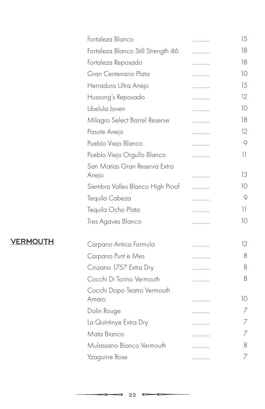|                 | Fortaleza Blanco                   | . | 15              |
|-----------------|------------------------------------|---|-----------------|
|                 | Fortaleza Blanco Still Strength 46 | . | 18              |
|                 | Fortaleza Reposado                 | . | 18              |
|                 | Gran Centenario Plata              | . | 10              |
|                 | Herradura Ultra Anejo              | . | 15              |
|                 | Hussong's Reposado                 | . | 12              |
|                 | Libelula Joven                     | . | 10              |
|                 | Milagro Select Barrel Reserve      | . | 18              |
|                 | Pasote Anejo                       | . | 12              |
|                 | Pueblo Viejo Blanco                | . | 9               |
|                 | Pueblo Viejo Orgullo Blanco        | . | 11              |
|                 | San Matias Gran Reserva Extra      |   |                 |
|                 | Anejo                              | . | 13              |
|                 | Siembra Valles Blanco High Proof   |   | 10              |
|                 | Tequila Cabeza                     | . | 9               |
|                 | Tequila Ocho Plata                 | . | $\overline{11}$ |
|                 | Tres Agaves Blanco                 | . | 10              |
| <b>VERMOUTH</b> | Carpano Antica Formula             | . | 12              |
|                 | Carpano Punt e Mes                 | . | 8               |
|                 | Cinzano 1757 Extra Dry             | . | 8               |
|                 | Cocchi Di Torino Vermouth          | . | 8               |
|                 | Cocchi Dopo Teatro Vermouth        |   |                 |
|                 | Amaro                              | . | 10              |
|                 | Dolin Rouge                        | . | $\overline{7}$  |
|                 | La Quintinye Extra Dry             | . | $\overline{7}$  |
|                 | Mata Bianco                        | . | 7               |
|                 | Mulassano Bianco Vermouth          | . | 8               |
|                 | Yzaguirre Rose                     | . | 7               |
|                 |                                    |   |                 |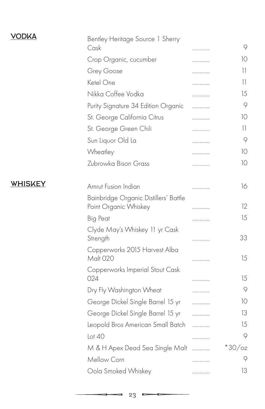| <b>VODKA</b>   | Bentley Heritage Source 1 Sherry<br>Cask                       | . | 9        |
|----------------|----------------------------------------------------------------|---|----------|
|                | Crop Organic, cucumber                                         | . | 10       |
|                | Grey Goose                                                     | . | 11       |
|                | Ketel One                                                      | . | 11       |
|                | Nikka Coffee Vodka                                             | . | 15       |
|                | Purity Signature 34 Edition Organic                            | . | 9        |
|                | St. George California Citrus                                   | . | 10       |
|                | St. George Green Chili                                         | . | 11       |
|                | Sun Liquor Old La                                              | . | $\circ$  |
|                | Wheatley                                                       | . | 10       |
|                | Zubrowka Bison Grass                                           | . | 10       |
| <b>WHISKEY</b> | Amrut Fusion Indian                                            | . | 16       |
|                | Bainbridge Organic Distillers' Battle<br>Point Organic Whiskey | . | 12       |
|                | <b>Big Peat</b>                                                | . | 15       |
|                | Clyde May's Whiskey 11 yr Cask<br>Strength                     | . | 33       |
|                | Copperworks 2015 Harvest Alba<br>Malt 020                      | . | 15       |
|                | Copperworks Imperial Stout Cask<br>024                         | . | 15       |
|                | Dry Fly Washington Wheat                                       | . | $\circ$  |
|                | George Dickel Single Barrel 15 yr                              | . | 10       |
|                | George Dickel Single Barrel 15 yr                              | . | 13       |
|                | Leopold Bros American Small Batch                              | . | 15       |
|                | Lot40                                                          | . | 9        |
|                | M & H Apex Dead Sea Single Malt                                | . | $*30/cz$ |
|                | Mellow Corn                                                    | . | 9        |
|                | Oola Smoked Whiskey                                            | . | 13       |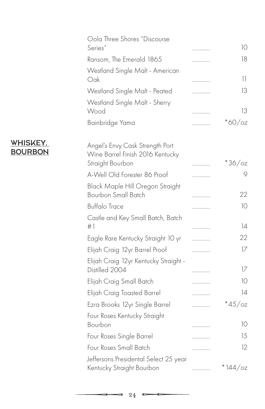|                            | Oola Three Shores "Discourse<br>Series"                                                 | . | 10              |
|----------------------------|-----------------------------------------------------------------------------------------|---|-----------------|
|                            | Ransom, The Emerald 1865                                                                | . | 18              |
|                            | Westland Single Malt - American<br>Oak                                                  | . | 11              |
|                            | Westland Single Malt - Peated                                                           | . | 13              |
|                            | Westland Single Malt - Sherry<br>Wood                                                   | . | 13              |
|                            | Bainbridge Yama                                                                         | . | $*$ 60/oz       |
| WHISKEY.<br><u>BOURBON</u> | Angel's Envy Cask Strength Port<br>Wine Barrel Finish 2016 Kentucky<br>Straight Bourbon | . | $*36/cz$        |
|                            | A-Well Old Forester 86 Proof                                                            | . | 9               |
|                            | Black Maple Hill Oregon Straight<br><b>Bourbon Small Batch</b>                          | . | 22              |
|                            | <b>Buffalo Trace</b>                                                                    | . | 10              |
|                            | Castle and Key Small Batch, Batch<br>#1                                                 | . | $\overline{14}$ |
|                            | Eagle Rare Kentucky Straight 10 yr                                                      | . | 22              |
|                            | Elijah Craig 12yr Barrel Proof                                                          | . | 17              |
|                            | Elijah Craig 12yr Kentucky Straight -<br>Distilled 2004                                 | . | 17              |
|                            | Elijah Craig Small Batch                                                                | . | 10              |
|                            | Elijah Craig Toasted Barrel                                                             | . | 14              |
|                            | Ezra Brooks 12yr Single Barrel                                                          | . | $*45/\text{oz}$ |
|                            | Four Roses Kentucky Straight<br>Bourbon                                                 | . | 10              |
|                            | Four Roses Single Barrel                                                                | . | 15              |
|                            | Four Roses Small Batch                                                                  | . | 12              |
|                            | Jeffersons Presidental Select 25 year<br>Kentucky Straight Bourbon                      | . | $*144$ /oz      |

Þ

9

-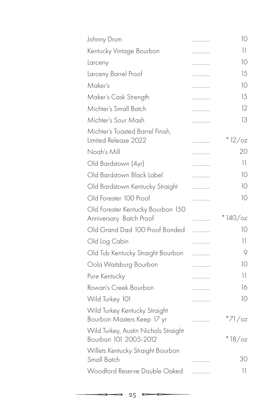| Johnny Drum                                                   | . | 10              |
|---------------------------------------------------------------|---|-----------------|
| Kentucky Vintage Bourbon                                      | . | 11              |
| Larceny                                                       | . | 10              |
| Larceny Barrel Proof                                          | . | 15              |
| Maker's                                                       | . | 10              |
| Maker's Cask Strength                                         | . | 15              |
| Michter's Small Batch                                         | . | 12              |
| Michter's Sour Mash                                           | . | 13              |
| Michter's Toasted Barrel Finish,<br>Limited Release 2022      | . | $*12/oz$        |
| Nogh's Mill                                                   | . | 20              |
| Old Bardstown (4yr)                                           | . | 11.             |
| Old Bardstown Black Label                                     | . | 10              |
| Old Bardstown Kentucky Straight                               | . | 10              |
| Old Forester 100 Proof                                        | . | 10              |
| Old Forester Kentucky Bourbon 150<br>Anniversary Batch Proof  | . | $*140/cz$       |
| Old Grand Dad 100 Proof Bonded                                | . | 10              |
| Old Log Cabin                                                 | . | 11              |
| Old Tub Kentucky Straight Bourbon                             | . | 9               |
|                                                               |   |                 |
| Oola Waitsburg Bourbon                                        | . | 10              |
| Pure Kentucky                                                 | . | 11              |
| Rowan's Creek Bourbon                                         | . | 16              |
| Wild Turkey 101                                               | . | 10              |
| Wild Turkey Kentucky Straight<br>Bourbon Masters Keep 17 yr   | . | *71/oz          |
| Wild Turkey, Austin Nichols Straight<br>Bourbon 101 2005-2012 |   | $*18$ /oz       |
| Willets Kentucky Straight Bourbon<br>Small Batch              |   | 30              |
| Woodford Reserve Double Oaked                                 | . | $\overline{11}$ |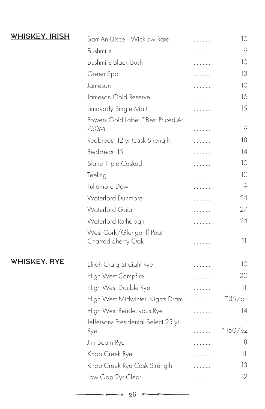| <b>WHISKEY, IRISH</b> | Barr An Uisce - Wicklow Rare               | . | 10                       |
|-----------------------|--------------------------------------------|---|--------------------------|
|                       | <b>Bushmills</b>                           |   | 9                        |
|                       | <b>Bushmills Black Bush</b>                |   | 10                       |
|                       | Green Spot                                 |   | 13                       |
|                       | Jameson                                    |   | 10                       |
|                       | Jameson Gold Reserve                       |   | 16                       |
|                       | Limavady Single Malt                       | . | 15                       |
|                       | Powers Gold Label *Best Priced At<br>750Ml | . | 9                        |
|                       | Redbreast 12 yr Cask Strength              |   | 18                       |
|                       | Redbreast 15                               | . | 14                       |
|                       | Slane Triple Casked                        | . | 10                       |
|                       | Teeling                                    | . | 10                       |
|                       | <b>Tullamore Dew</b>                       | . | 9                        |
|                       | <b>Waterford Dunmore</b>                   |   | 24                       |
|                       | <b>Waterford Gaia</b>                      | . | 27                       |
|                       | Waterford Rathclogh                        |   | 24                       |
|                       | West Cork/Glengariff Peat                  |   |                          |
|                       | Charred Sherry Oak                         | . | $\overline{\phantom{a}}$ |
| <b>WHISKEY, RYE</b>   | Elijah Craig Straight Rye                  | . | 10                       |
|                       | High West Campfire                         | . | 20                       |
|                       | High West Double Rye                       | . | $\overline{11}$          |
|                       | High West Midwinter Nights Dram            | . | $*35/cz$                 |
|                       | High West Rendezvous Rye                   | . | 14                       |
|                       | Jeffersons Presidental Select 25 yr        |   |                          |
|                       | Rye                                        |   | $*160/cz$                |
|                       | Jim Beam Rye                               | . | 8                        |
|                       | Knob Creek Rye                             |   | 11                       |
|                       | Knob Creek Rye Cask Strength               |   | 13                       |
|                       | Low Gap 2yr Clear                          |   | 12                       |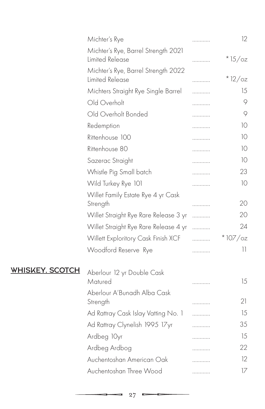|                        | Michter's Rye                                          | . | 12         |
|------------------------|--------------------------------------------------------|---|------------|
|                        | Michter's Rye, Barrel Strength 2021<br>Limited Release | . | $*15/cz$   |
|                        | Michter's Rye, Barrel Strength 2022<br>Limited Release | . | $*12/oz$   |
|                        | Michters Straight Rye Single Barrel                    | . | 15         |
|                        | Old Overholt                                           | . | 9          |
|                        | Old Overholt Bonded                                    | . | 9          |
|                        | Redemption                                             | . | 10         |
|                        | Rittenhouse 100                                        | . | 10         |
|                        | Rittenhouse 80                                         | . | 10         |
|                        | Sazerac Straight                                       | . | 10         |
|                        | Whistle Pig Small batch                                | . | 23         |
|                        | Wild Turkey Rye 101                                    | . | 10         |
|                        | Willet Family Estate Rye 4 yr Cask<br>Strength         | . | 20         |
|                        | Willet Straight Rye Rare Release 3 yr                  | . | 20         |
|                        | Willet Straight Rye Rare Release 4 yr                  | . | 24         |
|                        | Willett Exploritory Cask Finish XCF                    | . | $*107$ /oz |
|                        | Woodford Reserve Rye                                   | . | 11         |
| <b>WHISKEY, SCOTCH</b> | Aberlour 12 yr Double Cask<br>Matured                  |   | 15         |
|                        | Aberlour A'Bunadh Alba Cask                            | . |            |
|                        | Strength                                               | . | 21         |
|                        | Ad Rattray Cask Islay Vatting No. 1                    | . | 15         |
|                        | Ad Rattray Clynelish 1995 17yr                         | . | 35         |
|                        | Ardbeg 10yr                                            | . | 15         |
|                        | Ardbeg Ardbog                                          | . | 22         |
|                        | Auchentoshan American Oak                              |   | 12         |
|                        | Auchentoshan Three Wood                                | . | 17         |
|                        |                                                        |   |            |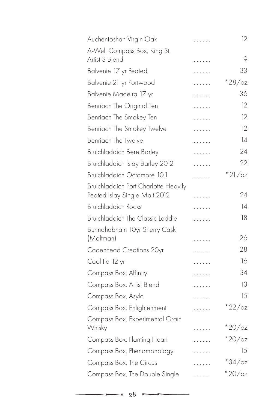| Auchentoshan Virgin Oak                                                      | . | 12              |
|------------------------------------------------------------------------------|---|-----------------|
| A-Well Compass Box, King St.                                                 |   |                 |
| Artist'S Blend                                                               | . | 9               |
| Balvenie 17 yr Peated                                                        | . | 33              |
| Balvenie 21 yr Portwood                                                      | . | $*28/cz$        |
| Balvenie Madeira 17 yr                                                       | . | 36              |
| Benriach The Original Ten                                                    | . | 12              |
| Benriach The Smokey Ten                                                      | . | 12              |
| Benriach The Smokey Twelve                                                   | . | 12              |
| <b>Benriach The Twelve</b>                                                   | . | 14              |
| <b>Bruichladdich Bere Barley</b>                                             | . | 24              |
| Bruichladdich Islay Barley 2012                                              | . | 22              |
| Bruichladdich Octomore 10.1                                                  | . | $*21/cz$        |
| <b>Bruichladdich Port Charlotte Heavily</b><br>Peated Islay Single Malt 2012 | . | 24              |
| <b>Bruichladdich Rocks</b>                                                   | . | 14              |
| Bruichladdich The Classic Laddie                                             | . | 18              |
| Bunnahabhain 10yr Sherry Cask                                                |   |                 |
| (Maltman)                                                                    | . | 26              |
| Cadenhead Creations 20yr                                                     | . | 28              |
| Caol Ila 12 yr                                                               | . | 16              |
| Compass Box, Affinity                                                        | . | 34              |
| Compass Box, Artist Blend                                                    | . | 13              |
| Compass Box, Asyla                                                           | . | 15              |
| Compass Box, Enlightenment                                                   | . | $*22$ /oz       |
| Compass Box, Experimental Grain                                              |   |                 |
| Whisky                                                                       | . | $*20/\text{oz}$ |
| Compass Box, Flaming Heart                                                   | . | $*20/\text{oz}$ |
| Compass Box, Phenomonology                                                   | . | 15              |
| Compass Box, The Circus                                                      | . | $*34$ /oz       |
| Compass Box, The Double Single                                               | . | $*20/cz$        |
|                                                                              |   |                 |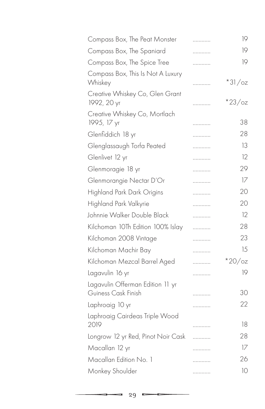| Compass Box, The Peat Monster                  | . | 19              |
|------------------------------------------------|---|-----------------|
| Compass Box, The Spaniard                      | . | 19              |
| Compass Box, The Spice Tree                    | . | 19              |
| Compass Box, This Is Not A Luxury<br>Whiskey   | . | $*31/cz$        |
| Creative Whiskey Co, Glen Grant<br>1992, 20 yr | . | $*23$ /oz       |
| Creative Whiskey Co, Mortlach                  |   |                 |
| 1995, 17 yr                                    | . | 38              |
| Glenfiddich 18 yr                              | . | 28              |
| Glenglassaugh Torfa Peated                     | . | 13              |
| Glenlivet 12 yr                                | . | 12              |
| Glenmoragie 18 yr                              | . | 29              |
| Glenmorangie Nectar D'Or                       | . | 17              |
| Highland Park Dark Origins                     | . | 20              |
| Highland Park Valkyrie                         | . | 20              |
| Johnnie Walker Double Black                    | . | 12              |
| Kilchoman 10Th Edition 100% Islay              | . | 28              |
| Kilchoman 2008 Vintage                         | . | 23              |
| Kilchoman Machir Bay                           | . | 15              |
| Kilchoman Mezcal Barrel Aged                   | . | $*20/\text{oz}$ |
| Lagavulin 16 yr                                | . | 19              |
| Lagavulin Offerman Edition 11 yr               |   |                 |
| Guiness Cask Finish                            | . | 30              |
| Laphroaig 10 yr                                | . | 22              |
| Laphroaig Cairdeas Triple Wood<br>2019         | . | 18              |
| Longrow 12 yr Red, Pinot Noir Cask             | . | 28              |
| Macallan 12 yr                                 | . | 17              |
| Macallan Edition No. 1                         |   | 26              |
| Monkey Shoulder                                | . | 10              |
|                                                |   |                 |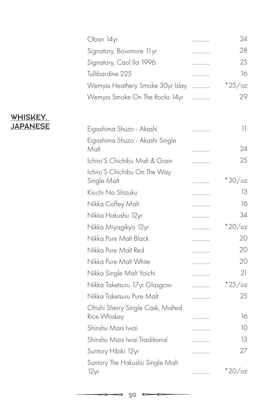| Oban 14yr                               | . | 24                               |
|-----------------------------------------|---|----------------------------------|
| Signatory, Bowmore 11 yr                | . | 28                               |
| Signatory, Caol Ila 1996                | . | 25                               |
| Tullibardine 225                        | . | 16                               |
| Wemyss Heathery Smoke 30yr Islay        | . | $*25$ /oz                        |
| Wemyss Smoke On The Rocks 14yr          | . | 29                               |
| Eigashima Shuzo - Akashi                | . | $\begin{array}{c} 1 \end{array}$ |
| Eigashima Shuzo - Akashi Single         |   |                                  |
| Malt                                    | . | 24                               |
| Ichiro'S Chichibu Malt & Grain          | . | 25                               |
| Ichiro'S Chichibu On The Way            |   |                                  |
| Single Malt                             | . | $*30/cz$                         |
| Kiuchi No Shizuku                       | . | 13                               |
| Nikka Coffey Malt                       | . | 16                               |
| Nikka Hakushu 12yr                      | . | 34                               |
| Nikka Miyagikyo 12yr                    | . | $*20$ /oz                        |
| Nikka Pure Malt Black                   | . | 20                               |
| Nikka Pure Malt Red                     | . | 20                               |
| Nikka Pure Malt White                   | . | 20                               |
| Nikka Single Malt Yoichi                | . | 21                               |
| Nikka Taketsuru 17yr Glasgow            | . | $*25$ /oz                        |
| Nikka Taketsuru Pure Malt               | . | 25                               |
| Ohishi Sherry Single Cask, Malted       |   |                                  |
| Rice Whiskey                            | . | 16                               |
| Shinshu Mars Iwai                       | . | 10                               |
| Shinshu Mars Iwai Traditional           | . | 13                               |
| Suntory Hibiki 12yr                     | . | 27                               |
| Suntory The Hakushu Single Malt<br>12yr | . | $*20$ /oz                        |

### WHISKEY, JAPANESE

 $\blacksquare$ 

c

-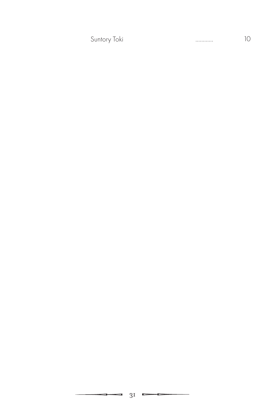Suntory Toki ………… 10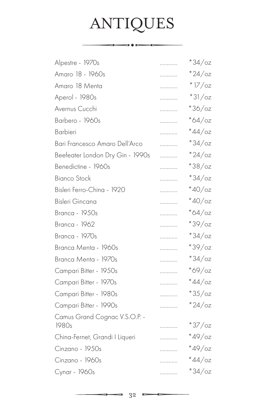# ANTIQUES

 $\overbrace{\hspace{2.5cm}}$ 

| Alpestre - 1970s                 | . | $*34/\text{o}z$ |
|----------------------------------|---|-----------------|
| Amaro 18 - 1960s                 | . | $*24/\text{oz}$ |
| Amaro 18 Menta                   | . | $*17/$ oz       |
| Aperol - 1980s                   | . | $*31/cz$        |
| Avernus Cucchi                   | . | $*36/cz$        |
| Barbero - 1960s                  | . | $*64$ /oz       |
| Barbieri                         | . | $*44$ /oz       |
| Bari Francesco Amaro Dell'Arco   | . | $*34$ /oz       |
| Beefeater London Dry Gin - 1990s | . | $*24/\text{oz}$ |
| Benedictine - 1960s              | . | $*38/cz$        |
| <b>Bianco Stock</b>              | . | $*34$ /oz       |
| Bisleri Ferro-China - 1920       | . | $*40$ /oz       |
| Bisleri Gincana                  | . | $*40$ /oz       |
| Branca - 1950s                   | . | $*64$ /oz       |
| <b>Branca - 1962</b>             | . | $*39/cz$        |
| Branca - 1970s                   | . | $*34$ /oz       |
| Branca Menta - 1960s             | . | $*39/cz$        |
| Branca Menta - 1970s             | . | $*34$ /oz       |
| Campari Bitter - 1950s           | . | $*69/cz$        |
| Campari Bitter - 1970s           | . | $*44$ /oz       |
| Campari Bitter - 1980s           | . | $*35/\text{oz}$ |
| Campari Bitter - 1990s           | . | $*24$ /oz       |
| Camus Grand Cognac V.S.O.P. -    |   |                 |
| 1980s                            | . | $*37$ /oz       |
| China-Fernet, Grandi I Liqueri   | . | $*49$ /oz       |
| Cinzano - 1950s                  | . | $*49$ /oz       |
| Cinzano - 1960s                  | . | $*44$ /oz       |
| Cynar - 1960s                    | . | $*34$ /oz       |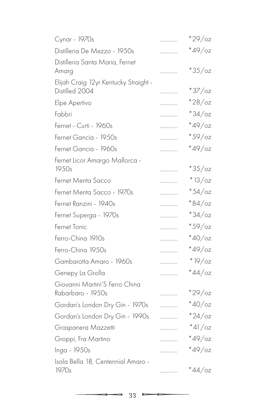| Cynar - 1970s                                           | . | $*29$ /oz       |
|---------------------------------------------------------|---|-----------------|
| Distilleria De Mezzo - 1950s                            | . | $*49$ /oz       |
| Distilleria Santa Maria, Fernet<br>Amarg                | . | $*35/cz$        |
| Elijah Craig 12yr Kentucky Straight -<br>Distilled 2004 |   | $*37$ /oz       |
| Elpe Apertivo                                           | . | $*28/\text{oz}$ |
| Fabbri                                                  | . | $*34$ /oz       |
| Fernet - Curti - 1960s                                  | . | $*49$ /oz       |
| Fernet Gancia - 1950s                                   | . | $*59/cz$        |
| Fernet Gancia - 1960s                                   | . | $*49$ /oz       |
| Fernet Licor Amargo Mallorca -<br>1950s                 | . | $*35/cz$        |
| Fernet Menta Sacco                                      | . | $*13/oz$        |
| Fernet Menta Sacco - 1970s                              | . | $*54$ /oz       |
| Fernet Ranzini - 1940s                                  | . | $*84$ /oz       |
| Fernet Superga - 1970s                                  | . | $*34$ /oz       |
| Fernet Tonic                                            | . | $*59/cz$        |
| Ferro-China 1910s                                       | . | $*40/\text{oz}$ |
| Ferro-China 1950s                                       | . | $*49$ /oz       |
| Gambarotta Amaro - 1960s                                | . | $*$ 19/oz       |
| Genepy La Grolla                                        | . | $*44$ /oz       |
| Giovanni Martini'S Ferro China                          |   |                 |
| Rabarbaro - 1950s                                       | . | $*29$ /oz       |
| Gordan's London Dry Gin - 1970s                         | . | $*40$ /oz       |
| Gordan's London Dry Gin - 1990s                         | . | $*24$ /oz       |
| Graspanera Mazzetti                                     | . | $*41/cz$        |
| Groppi, Fra Martino                                     | . | $*49$ /oz       |
| Inga - 1950s                                            | . | $*49$ /oz       |
| Isola Bella 18, Centennial Amaro -<br>1970s             | . | $*44$ /oz       |
|                                                         |   |                 |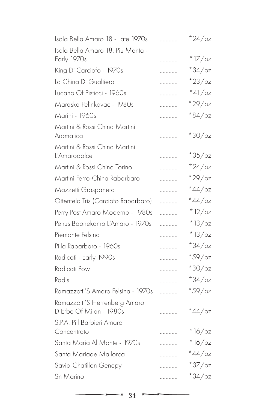| . | $*24$ /oz       |
|---|-----------------|
|   |                 |
| . | $*17$ /oz       |
| . | $*34$ /oz       |
| . | $*23$ /oz       |
| . | $*41/cz$        |
| . | $*29$ /oz       |
| . | $*84/\text{o}z$ |
|   |                 |
| . | $*30/cz$        |
| . | $*35/cz$        |
| . | $*24$ /oz       |
|   | $*29$ /oz       |
| . | $*44$ /oz       |
| . | $*44$ /oz       |
| . | $*12/oz$        |
| . | $*13/oz$        |
| . | $*13/oz$        |
| . | $*34$ /oz       |
| . | $*59/cz$        |
| . | $*30/cz$        |
| . | $*34$ /oz       |
| . | $*59/cz$        |
| . | $*44$ /oz       |
|   |                 |
| . | $*16/oz$        |
| . | $*16$ /oz       |
| . | $*44$ /oz       |
| . | $*37$ /oz       |
| . | $*34$ /oz       |
|   | .               |